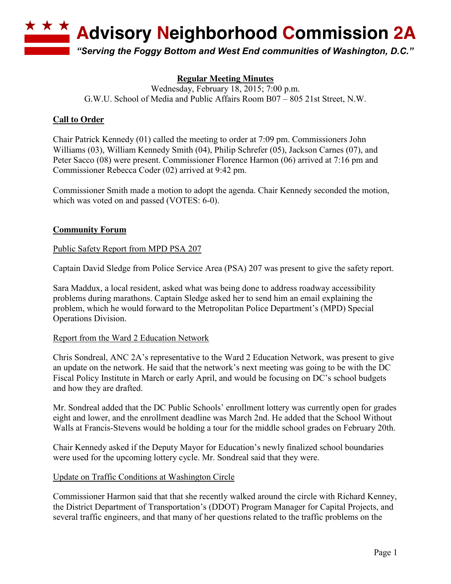**Advisory Neighborhood Commission 2A** 

*"Serving the Foggy Bottom and West End communities of Washington, D.C."*

# **Regular Meeting Minutes**

Wednesday, February 18, 2015; 7:00 p.m. G.W.U. School of Media and Public Affairs Room B07 – 805 21st Street, N.W.

## **Call to Order**

Chair Patrick Kennedy (01) called the meeting to order at 7:09 pm. Commissioners John Williams (03), William Kennedy Smith (04), Philip Schrefer (05), Jackson Carnes (07), and Peter Sacco (08) were present. Commissioner Florence Harmon (06) arrived at 7:16 pm and Commissioner Rebecca Coder (02) arrived at 9:42 pm.

Commissioner Smith made a motion to adopt the agenda. Chair Kennedy seconded the motion, which was voted on and passed (VOTES: 6-0).

### **Community Forum**

### Public Safety Report from MPD PSA 207

Captain David Sledge from Police Service Area (PSA) 207 was present to give the safety report.

Sara Maddux, a local resident, asked what was being done to address roadway accessibility problems during marathons. Captain Sledge asked her to send him an email explaining the problem, which he would forward to the Metropolitan Police Department's (MPD) Special Operations Division.

### Report from the Ward 2 Education Network

Chris Sondreal, ANC 2A's representative to the Ward 2 Education Network, was present to give an update on the network. He said that the network's next meeting was going to be with the DC Fiscal Policy Institute in March or early April, and would be focusing on DC's school budgets and how they are drafted.

Mr. Sondreal added that the DC Public Schools' enrollment lottery was currently open for grades eight and lower, and the enrollment deadline was March 2nd. He added that the School Without Walls at Francis-Stevens would be holding a tour for the middle school grades on February 20th.

Chair Kennedy asked if the Deputy Mayor for Education's newly finalized school boundaries were used for the upcoming lottery cycle. Mr. Sondreal said that they were.

### Update on Traffic Conditions at Washington Circle

Commissioner Harmon said that that she recently walked around the circle with Richard Kenney, the District Department of Transportation's (DDOT) Program Manager for Capital Projects, and several traffic engineers, and that many of her questions related to the traffic problems on the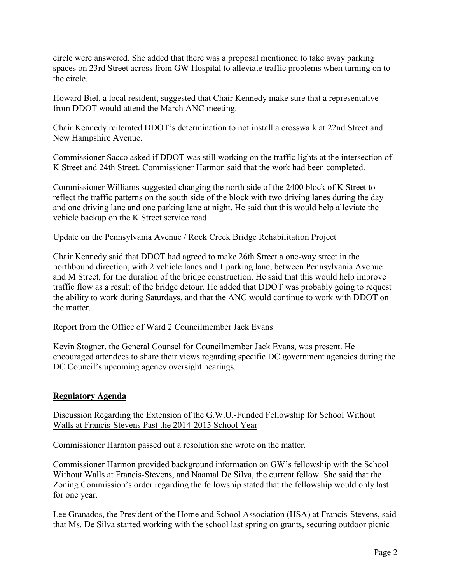circle were answered. She added that there was a proposal mentioned to take away parking spaces on 23rd Street across from GW Hospital to alleviate traffic problems when turning on to the circle.

Howard Biel, a local resident, suggested that Chair Kennedy make sure that a representative from DDOT would attend the March ANC meeting.

Chair Kennedy reiterated DDOT's determination to not install a crosswalk at 22nd Street and New Hampshire Avenue.

Commissioner Sacco asked if DDOT was still working on the traffic lights at the intersection of K Street and 24th Street. Commissioner Harmon said that the work had been completed.

Commissioner Williams suggested changing the north side of the 2400 block of K Street to reflect the traffic patterns on the south side of the block with two driving lanes during the day and one driving lane and one parking lane at night. He said that this would help alleviate the vehicle backup on the K Street service road.

### Update on the Pennsylvania Avenue / Rock Creek Bridge Rehabilitation Project

Chair Kennedy said that DDOT had agreed to make 26th Street a one-way street in the northbound direction, with 2 vehicle lanes and 1 parking lane, between Pennsylvania Avenue and M Street, for the duration of the bridge construction. He said that this would help improve traffic flow as a result of the bridge detour. He added that DDOT was probably going to request the ability to work during Saturdays, and that the ANC would continue to work with DDOT on the matter.

#### Report from the Office of Ward 2 Councilmember Jack Evans

Kevin Stogner, the General Counsel for Councilmember Jack Evans, was present. He encouraged attendees to share their views regarding specific DC government agencies during the DC Council's upcoming agency oversight hearings.

#### **Regulatory Agenda**

Discussion Regarding the Extension of the G.W.U.-Funded Fellowship for School Without Walls at Francis-Stevens Past the 2014-2015 School Year

Commissioner Harmon passed out a resolution she wrote on the matter.

Commissioner Harmon provided background information on GW's fellowship with the School Without Walls at Francis-Stevens, and Naamal De Silva, the current fellow. She said that the Zoning Commission's order regarding the fellowship stated that the fellowship would only last for one year.

Lee Granados, the President of the Home and School Association (HSA) at Francis-Stevens, said that Ms. De Silva started working with the school last spring on grants, securing outdoor picnic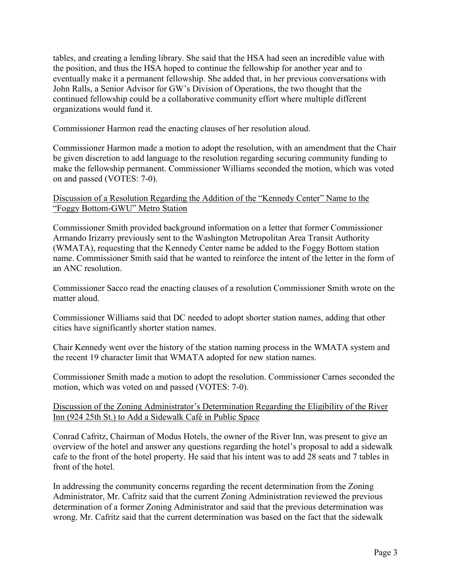tables, and creating a lending library. She said that the HSA had seen an incredible value with the position, and thus the HSA hoped to continue the fellowship for another year and to eventually make it a permanent fellowship. She added that, in her previous conversations with John Ralls, a Senior Advisor for GW's Division of Operations, the two thought that the continued fellowship could be a collaborative community effort where multiple different organizations would fund it.

Commissioner Harmon read the enacting clauses of her resolution aloud.

Commissioner Harmon made a motion to adopt the resolution, with an amendment that the Chair be given discretion to add language to the resolution regarding securing community funding to make the fellowship permanent. Commissioner Williams seconded the motion, which was voted on and passed (VOTES: 7-0).

Discussion of a Resolution Regarding the Addition of the "Kennedy Center" Name to the "Foggy Bottom-GWU" Metro Station

Commissioner Smith provided background information on a letter that former Commissioner Armando Irizarry previously sent to the Washington Metropolitan Area Transit Authority (WMATA), requesting that the Kennedy Center name be added to the Foggy Bottom station name. Commissioner Smith said that he wanted to reinforce the intent of the letter in the form of an ANC resolution.

Commissioner Sacco read the enacting clauses of a resolution Commissioner Smith wrote on the matter aloud.

Commissioner Williams said that DC needed to adopt shorter station names, adding that other cities have significantly shorter station names.

Chair Kennedy went over the history of the station naming process in the WMATA system and the recent 19 character limit that WMATA adopted for new station names.

Commissioner Smith made a motion to adopt the resolution. Commissioner Carnes seconded the motion, which was voted on and passed (VOTES: 7-0).

### Discussion of the Zoning Administrator's Determination Regarding the Eligibility of the River Inn (924 25th St.) to Add a Sidewalk Café in Public Space

Conrad Cafritz, Chairman of Modus Hotels, the owner of the River Inn, was present to give an overview of the hotel and answer any questions regarding the hotel's proposal to add a sidewalk cafe to the front of the hotel property. He said that his intent was to add 28 seats and 7 tables in front of the hotel.

In addressing the community concerns regarding the recent determination from the Zoning Administrator, Mr. Cafritz said that the current Zoning Administration reviewed the previous determination of a former Zoning Administrator and said that the previous determination was wrong. Mr. Cafritz said that the current determination was based on the fact that the sidewalk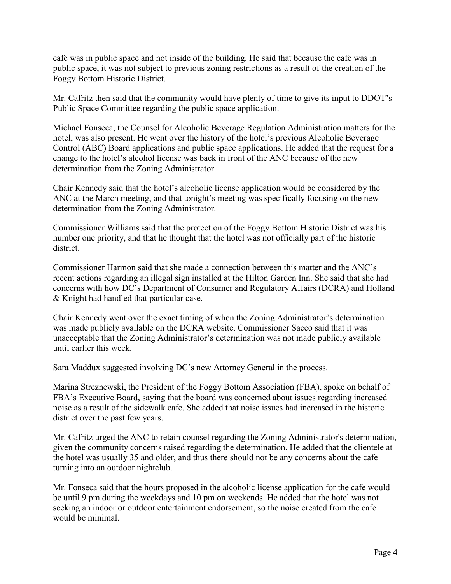cafe was in public space and not inside of the building. He said that because the cafe was in public space, it was not subject to previous zoning restrictions as a result of the creation of the Foggy Bottom Historic District.

Mr. Cafritz then said that the community would have plenty of time to give its input to DDOT's Public Space Committee regarding the public space application.

Michael Fonseca, the Counsel for Alcoholic Beverage Regulation Administration matters for the hotel, was also present. He went over the history of the hotel's previous Alcoholic Beverage Control (ABC) Board applications and public space applications. He added that the request for a change to the hotel's alcohol license was back in front of the ANC because of the new determination from the Zoning Administrator.

Chair Kennedy said that the hotel's alcoholic license application would be considered by the ANC at the March meeting, and that tonight's meeting was specifically focusing on the new determination from the Zoning Administrator.

Commissioner Williams said that the protection of the Foggy Bottom Historic District was his number one priority, and that he thought that the hotel was not officially part of the historic district.

Commissioner Harmon said that she made a connection between this matter and the ANC's recent actions regarding an illegal sign installed at the Hilton Garden Inn. She said that she had concerns with how DC's Department of Consumer and Regulatory Affairs (DCRA) and Holland & Knight had handled that particular case.

Chair Kennedy went over the exact timing of when the Zoning Administrator's determination was made publicly available on the DCRA website. Commissioner Sacco said that it was unacceptable that the Zoning Administrator's determination was not made publicly available until earlier this week.

Sara Maddux suggested involving DC's new Attorney General in the process.

Marina Streznewski, the President of the Foggy Bottom Association (FBA), spoke on behalf of FBA's Executive Board, saying that the board was concerned about issues regarding increased noise as a result of the sidewalk cafe. She added that noise issues had increased in the historic district over the past few years.

Mr. Cafritz urged the ANC to retain counsel regarding the Zoning Administrator's determination, given the community concerns raised regarding the determination. He added that the clientele at the hotel was usually 35 and older, and thus there should not be any concerns about the cafe turning into an outdoor nightclub.

Mr. Fonseca said that the hours proposed in the alcoholic license application for the cafe would be until 9 pm during the weekdays and 10 pm on weekends. He added that the hotel was not seeking an indoor or outdoor entertainment endorsement, so the noise created from the cafe would be minimal.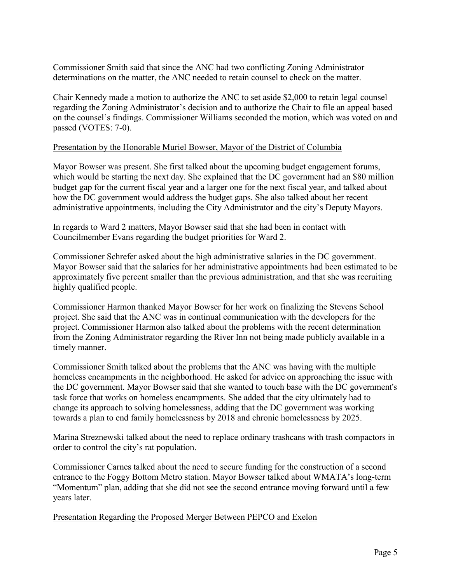Commissioner Smith said that since the ANC had two conflicting Zoning Administrator determinations on the matter, the ANC needed to retain counsel to check on the matter.

Chair Kennedy made a motion to authorize the ANC to set aside \$2,000 to retain legal counsel regarding the Zoning Administrator's decision and to authorize the Chair to file an appeal based on the counsel's findings. Commissioner Williams seconded the motion, which was voted on and passed (VOTES: 7-0).

#### Presentation by the Honorable Muriel Bowser, Mayor of the District of Columbia

Mayor Bowser was present. She first talked about the upcoming budget engagement forums, which would be starting the next day. She explained that the DC government had an \$80 million budget gap for the current fiscal year and a larger one for the next fiscal year, and talked about how the DC government would address the budget gaps. She also talked about her recent administrative appointments, including the City Administrator and the city's Deputy Mayors.

In regards to Ward 2 matters, Mayor Bowser said that she had been in contact with Councilmember Evans regarding the budget priorities for Ward 2.

Commissioner Schrefer asked about the high administrative salaries in the DC government. Mayor Bowser said that the salaries for her administrative appointments had been estimated to be approximately five percent smaller than the previous administration, and that she was recruiting highly qualified people.

Commissioner Harmon thanked Mayor Bowser for her work on finalizing the Stevens School project. She said that the ANC was in continual communication with the developers for the project. Commissioner Harmon also talked about the problems with the recent determination from the Zoning Administrator regarding the River Inn not being made publicly available in a timely manner.

Commissioner Smith talked about the problems that the ANC was having with the multiple homeless encampments in the neighborhood. He asked for advice on approaching the issue with the DC government. Mayor Bowser said that she wanted to touch base with the DC government's task force that works on homeless encampments. She added that the city ultimately had to change its approach to solving homelessness, adding that the DC government was working towards a plan to end family homelessness by 2018 and chronic homelessness by 2025.

Marina Streznewski talked about the need to replace ordinary trashcans with trash compactors in order to control the city's rat population.

Commissioner Carnes talked about the need to secure funding for the construction of a second entrance to the Foggy Bottom Metro station. Mayor Bowser talked about WMATA's long-term "Momentum" plan, adding that she did not see the second entrance moving forward until a few years later.

Presentation Regarding the Proposed Merger Between PEPCO and Exelon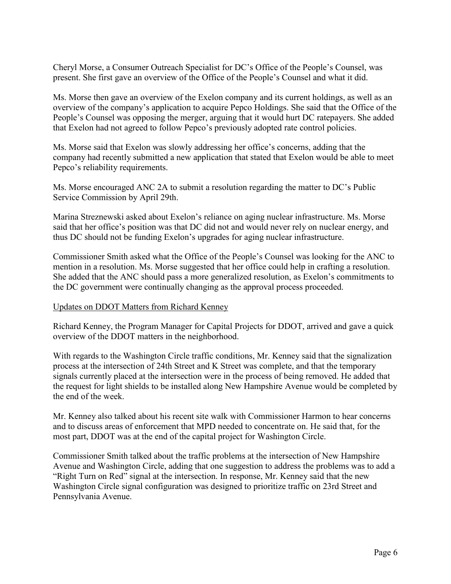Cheryl Morse, a Consumer Outreach Specialist for DC's Office of the People's Counsel, was present. She first gave an overview of the Office of the People's Counsel and what it did.

Ms. Morse then gave an overview of the Exelon company and its current holdings, as well as an overview of the company's application to acquire Pepco Holdings. She said that the Office of the People's Counsel was opposing the merger, arguing that it would hurt DC ratepayers. She added that Exelon had not agreed to follow Pepco's previously adopted rate control policies.

Ms. Morse said that Exelon was slowly addressing her office's concerns, adding that the company had recently submitted a new application that stated that Exelon would be able to meet Pepco's reliability requirements.

Ms. Morse encouraged ANC 2A to submit a resolution regarding the matter to DC's Public Service Commission by April 29th.

Marina Streznewski asked about Exelon's reliance on aging nuclear infrastructure. Ms. Morse said that her office's position was that DC did not and would never rely on nuclear energy, and thus DC should not be funding Exelon's upgrades for aging nuclear infrastructure.

Commissioner Smith asked what the Office of the People's Counsel was looking for the ANC to mention in a resolution. Ms. Morse suggested that her office could help in crafting a resolution. She added that the ANC should pass a more generalized resolution, as Exelon's commitments to the DC government were continually changing as the approval process proceeded.

#### Updates on DDOT Matters from Richard Kenney

Richard Kenney, the Program Manager for Capital Projects for DDOT, arrived and gave a quick overview of the DDOT matters in the neighborhood.

With regards to the Washington Circle traffic conditions, Mr. Kenney said that the signalization process at the intersection of 24th Street and K Street was complete, and that the temporary signals currently placed at the intersection were in the process of being removed. He added that the request for light shields to be installed along New Hampshire Avenue would be completed by the end of the week.

Mr. Kenney also talked about his recent site walk with Commissioner Harmon to hear concerns and to discuss areas of enforcement that MPD needed to concentrate on. He said that, for the most part, DDOT was at the end of the capital project for Washington Circle.

Commissioner Smith talked about the traffic problems at the intersection of New Hampshire Avenue and Washington Circle, adding that one suggestion to address the problems was to add a "Right Turn on Red" signal at the intersection. In response, Mr. Kenney said that the new Washington Circle signal configuration was designed to prioritize traffic on 23rd Street and Pennsylvania Avenue.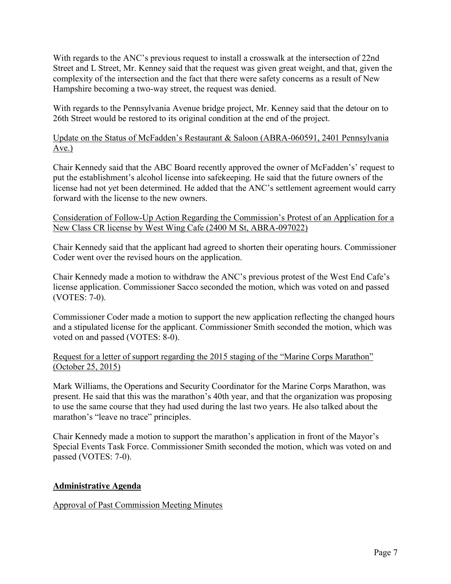With regards to the ANC's previous request to install a crosswalk at the intersection of 22nd Street and L Street, Mr. Kenney said that the request was given great weight, and that, given the complexity of the intersection and the fact that there were safety concerns as a result of New Hampshire becoming a two-way street, the request was denied.

With regards to the Pennsylvania Avenue bridge project, Mr. Kenney said that the detour on to 26th Street would be restored to its original condition at the end of the project.

Update on the Status of McFadden's Restaurant & Saloon (ABRA-060591, 2401 Pennsylvania  $Ave.$ )

Chair Kennedy said that the ABC Board recently approved the owner of McFadden's' request to put the establishment's alcohol license into safekeeping. He said that the future owners of the license had not yet been determined. He added that the ANC's settlement agreement would carry forward with the license to the new owners.

Consideration of Follow-Up Action Regarding the Commission's Protest of an Application for a New Class CR license by West Wing Cafe (2400 M St, ABRA-097022)

Chair Kennedy said that the applicant had agreed to shorten their operating hours. Commissioner Coder went over the revised hours on the application.

Chair Kennedy made a motion to withdraw the ANC's previous protest of the West End Cafe's license application. Commissioner Sacco seconded the motion, which was voted on and passed (VOTES: 7-0).

Commissioner Coder made a motion to support the new application reflecting the changed hours and a stipulated license for the applicant. Commissioner Smith seconded the motion, which was voted on and passed (VOTES: 8-0).

### Request for a letter of support regarding the 2015 staging of the "Marine Corps Marathon" (October 25, 2015)

Mark Williams, the Operations and Security Coordinator for the Marine Corps Marathon, was present. He said that this was the marathon's 40th year, and that the organization was proposing to use the same course that they had used during the last two years. He also talked about the marathon's "leave no trace" principles.

Chair Kennedy made a motion to support the marathon's application in front of the Mayor's Special Events Task Force. Commissioner Smith seconded the motion, which was voted on and passed (VOTES: 7-0).

### **Administrative Agenda**

Approval of Past Commission Meeting Minutes